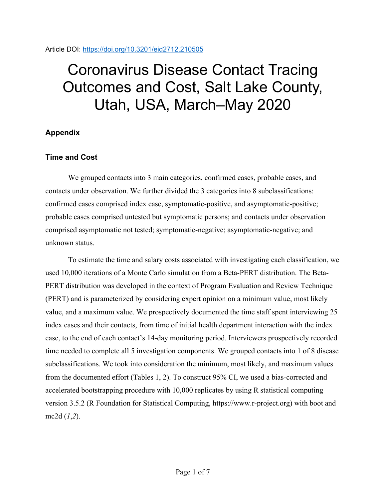### Article DOI:<https://doi.org/10.3201/eid2712.210505>

# Coronavirus Disease Contact Tracing Outcomes and Cost, Salt Lake County, Utah, USA, March–May 2020

## **Appendix**

## **Time and Cost**

We grouped contacts into 3 main categories, confirmed cases, probable cases, and contacts under observation. We further divided the 3 categories into 8 subclassifications: confirmed cases comprised index case, symptomatic-positive, and asymptomatic-positive; probable cases comprised untested but symptomatic persons; and contacts under observation comprised asymptomatic not tested; symptomatic-negative; asymptomatic-negative; and unknown status.

To estimate the time and salary costs associated with investigating each classification, we used 10,000 iterations of a Monte Carlo simulation from a Beta-PERT distribution. The Beta-PERT distribution was developed in the context of Program Evaluation and Review Technique (PERT) and is parameterized by considering expert opinion on a minimum value, most likely value, and a maximum value. We prospectively documented the time staff spent interviewing 25 index cases and their contacts, from time of initial health department interaction with the index case, to the end of each contact's 14-day monitoring period. Interviewers prospectively recorded time needed to complete all 5 investigation components. We grouped contacts into 1 of 8 disease subclassifications. We took into consideration the minimum, most likely, and maximum values from the documented effort (Tables 1, 2). To construct 95% CI, we used a bias-corrected and accelerated bootstrapping procedure with 10,000 replicates by using R statistical computing version 3.5.2 (R Foundation for Statistical Computing, https://www.r-project.org) with boot and mc2d (*1*,*2*).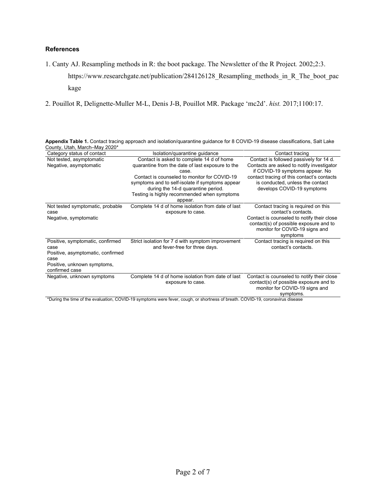#### **References**

- 1. Canty AJ. Resampling methods in R: the boot package. The Newsletter of the R Project*.* 2002;2:3. https://www.researchgate.net/publication/284126128\_Resampling\_methods\_in\_R\_The\_boot\_pac kage
- 2. Pouillot R, Delignette-Muller M-L, Denis J-B, Pouillot MR. Package 'mc2d'. *hist.* 2017;1100:17.

| County, Utah, March–May 2020*                                                                                                          |                                                                                                                                                                                                                                                                                                |                                                                                                                                                                                                                                         |
|----------------------------------------------------------------------------------------------------------------------------------------|------------------------------------------------------------------------------------------------------------------------------------------------------------------------------------------------------------------------------------------------------------------------------------------------|-----------------------------------------------------------------------------------------------------------------------------------------------------------------------------------------------------------------------------------------|
| Category status of contact                                                                                                             | Isolation/quarantine guidance                                                                                                                                                                                                                                                                  | Contact tracing                                                                                                                                                                                                                         |
| Not tested, asymptomatic<br>Negative, asymptomatic                                                                                     | Contact is asked to complete 14 d of home<br>quarantine from the date of last exposure to the<br>case.<br>Contact is counseled to monitor for COVID-19<br>symptoms and to self-isolate if symptoms appear<br>during the 14-d quarantine period.<br>Testing is highly recommended when symptoms | Contact is followed passively for 14 d.<br>Contacts are asked to notify investigator<br>if COVID-19 symptoms appear. No<br>contact tracing of this contact's contacts<br>is conducted, unless the contact<br>develops COVID-19 symptoms |
|                                                                                                                                        | appear.                                                                                                                                                                                                                                                                                        |                                                                                                                                                                                                                                         |
| Not tested symptomatic, probable<br>case<br>Negative, symptomatic                                                                      | Complete 14 d of home isolation from date of last<br>exposure to case.                                                                                                                                                                                                                         | Contact tracing is required on this<br>contact's contacts.<br>Contact is counseled to notify their close<br>contact(s) of possible exposure and to<br>monitor for COVID-19 signs and<br>symptoms                                        |
| Positive, symptomatic, confirmed<br>case<br>Positive, asymptomatic, confirmed<br>case<br>Positive, unknown symptoms,<br>confirmed case | Strict isolation for 7 d with symptom improvement<br>and fever-free for three days.                                                                                                                                                                                                            | Contact tracing is required on this<br>contact's contacts.                                                                                                                                                                              |
| Negative, unknown symptoms                                                                                                             | Complete 14 d of home isolation from date of last<br>exposure to case.<br>$*D$ and the fine of the controller COMP 40 concretence are forced could be checked as forest. COMP 40 concerning disc                                                                                               | Contact is counseled to notify their close<br>contact(s) of possible exposure and to<br>monitor for COVID-19 signs and<br>symptoms.                                                                                                     |

**Appendix Table 1.** Contact tracing approach and isolation/quarantine guidance for 8 COVID-19 disease classifications, Salt Lake

\*During the time of the evaluation, COVID-19 symptoms were fever, cough, or shortness of breath. COVID-19, coronavirus disease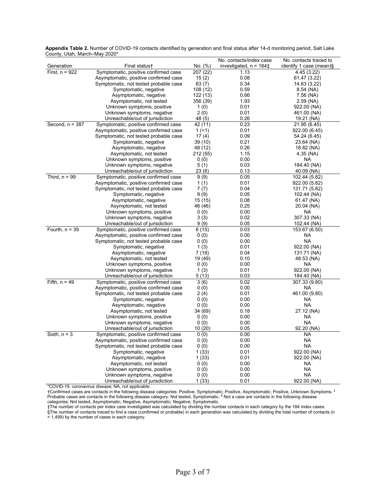|                   |                                                                                |               | No. contacts/index case     | No. contacts traced to                    |
|-------------------|--------------------------------------------------------------------------------|---------------|-----------------------------|-------------------------------------------|
| Generation        | Final status†                                                                  | No. (%)       | investigated, $n = 184 \pm$ | identify 1 case (mean)§                   |
| First, $n = 922$  | Symptomatic, positive confirmed case                                           | 207 (22)      | 1.13                        | 4.45 (3.22)                               |
|                   | Asymptomatic, positive confirmed case                                          | 15(2)         | 0.08                        | 61.47 (3.22)                              |
|                   | Symptomatic, not tested probable case                                          | 63(7)         | 0.34                        | 14.63 (3.22)                              |
|                   | Symptomatic, negative                                                          | 108 (12)      | 0.59                        | 8.54 (NA)                                 |
|                   | Asymptomatic, negative                                                         | 122 (13)      | 0.66                        | 7.56 (NA)                                 |
|                   | Asymptomatic, not tested                                                       | 356 (39)      | 1.93                        | $2.59$ (NA)                               |
|                   | Unknown symptoms, positive                                                     | 1(0)          | 0.01                        | 922.00 (NA)                               |
|                   | Unknown symptoms, negative                                                     | 2(0)          | 0.01                        | 461.00 (NA)                               |
|                   | Unreachable/out of jurisdiction                                                | 48 (5)        | 0.26                        | 19.21 (NA)                                |
| Second, $n = 387$ | Symptomatic, positive confirmed case                                           | 42 (11)       | 0.23                        | $\overline{21.95(6.45)}$                  |
|                   | Asymptomatic, positive confirmed case                                          | 1(51)         | 0.01                        | 922.00 (6.45)                             |
|                   | Symptomatic, not tested probable case                                          | 17(4)         | 0.09                        | 54.24 (6.45)                              |
|                   | Symptomatic, negative                                                          | 39 (10)       | 0.21                        | 23.64 (NA)                                |
|                   | Asymptomatic, negative                                                         | 48 (12)       | 0.26                        | 18.82 (NA)                                |
|                   | Asymptomatic, not tested                                                       | 212 (55)      | 1.15                        | 4.35 (NA)                                 |
|                   | Unknown symptoms, positive                                                     | 0(0)          | 0.00                        | NA                                        |
|                   | Unknown symptoms, negative                                                     | 5(1)          | 0.03                        | 184.40 (NA)                               |
|                   | Unreachable/out of jurisdiction                                                | 23(6)         | 0.13                        | 40.09 (NA)                                |
| Third, $n = 99$   | Symptomatic, positive confirmed case                                           | 9(9)          | 0.05                        | 102.44 (5.82)                             |
|                   | Asymptomatic, positive confirmed case                                          | 1(1)          | 0.01                        | 922.00 (5.82)                             |
|                   | Symptomatic, not tested probable case                                          | 7(7)          | 0.04                        | 131.71 (5.82)                             |
|                   | Symptomatic, negative                                                          | 9(9)          | 0.05                        | 102.44 (NA)                               |
|                   | Asymptomatic, negative                                                         | 15 (15)       | 0.08                        | 61.47 (NA)                                |
|                   | Asymptomatic, not tested                                                       | 46 (46)       | 0.25                        | 20.04 (NA)                                |
|                   | Unknown symptoms, positive                                                     | 0(0)          | 0.00                        | NA                                        |
|                   | Unknown symptoms, negative                                                     | 3(3)          | 0.02                        | 307.33 (NA)                               |
|                   | Unreachable/out of jurisdiction                                                | 9(9)          | 0.05                        | 102.44 (NA)                               |
| Fourth, $n = 39$  | Symptomatic, positive confirmed case                                           | 6(15)         | 0.03                        | 153.67 (6.50)                             |
|                   | Asymptomatic, positive confirmed case                                          | 0(0)          | 0.00                        | <b>NA</b>                                 |
|                   | Symptomatic, not tested probable case                                          | 0(0)          | 0.00                        | NA                                        |
|                   | Symptomatic, negative                                                          | 1(3)          | 0.01                        | 922.00 (NA)                               |
|                   | Asymptomatic, negative                                                         | 7(18)         | 0.04                        | 131.71 (NA)                               |
|                   | Asymptomatic, not tested                                                       | 19 (49)       | 0.10                        | 48.53 (NA)                                |
|                   | Unknown symptoms, positive                                                     | 0(0)          | 0.00<br>0.01                | NA                                        |
|                   | Unknown symptoms, negative                                                     | 1(3)<br>5(13) | 0.03                        | 922.00 (NA)                               |
| Fifth, $n = 49$   | Unreachable/out of jurisdiction                                                |               | 0.02                        | 184.40 (NA)<br>$\overline{307.33}$ (9.80) |
|                   | Symptomatic, positive confirmed case                                           | 3(6)          | 0.00                        | NA.                                       |
|                   | Asymptomatic, positive confirmed case<br>Symptomatic, not tested probable case | 0(0)<br>2(4)  | 0.01                        | 461.00 (9.80)                             |
|                   | Symptomatic, negative                                                          | 0(0)          | 0.00                        | NA                                        |
|                   | Asymptomatic, negative                                                         | 0(0)          | 0.00                        | <b>NA</b>                                 |
|                   | Asymptomatic, not tested                                                       | 34 (69)       | 0.18                        | 27.12 (NA)                                |
|                   | Unknown symptoms, positive                                                     | 0(0)          | 0.00                        | NA                                        |
|                   | Unknown symptoms, negative                                                     | 0(0)          | 0.00                        | <b>NA</b>                                 |
|                   | Unreachable/out of jurisdiction                                                | 10 (20)       | 0.05                        | 92.20 (NA)                                |
| Sixth, $n = 3$    | Symptomatic, positive confirmed case                                           | 0(0)          | 0.00                        | <b>NA</b>                                 |
|                   | Asymptomatic, positive confirmed case                                          | 0(0)          | 0.00                        | <b>NA</b>                                 |
|                   | Symptomatic, not tested probable case                                          | 0(0)          | 0.00                        | <b>NA</b>                                 |
|                   | Symptomatic, negative                                                          | 1(33)         | 0.01                        | 922.00 (NA)                               |
|                   | Asymptomatic, negative                                                         | 1 (33)        | 0.01                        | 922.00 (NA)                               |
|                   | Asymptomatic, not tested                                                       | 0(0)          | 0.00                        | NA                                        |
|                   | Unknown symptoms, positive                                                     | 0(0)          | 0.00                        | NA                                        |
|                   | Unknown symptoms, negative                                                     | 0(0)          | 0.00                        | NA                                        |
|                   | Unreachable/out of jurisdiction                                                | 1(33)         | 0.01                        | 922.00 (NA)                               |

**Appendix Table 2.** Number of COVID-19 contacts identified by generation and final status after 14-d monitoring period, Salt Lake County, Utah, March–May 2020\*

\*COVID-19, coronavirus disease; NA, not applicable.

†Confirmed cases are contacts in the following disease categories: Positive, Symptomatic; Positive, Asymptomatic; Positive, Unknown Symptoms. ‡ Probable cases are contacts in the following disease category: Not tested, Symptomatic. ¥ Not a case are contacts in the following disease categories: Not tested, Asymptomatic; Negative, Asymptomatic; Negative, Symptomatic.

‡The number of contacts per index case investigated was calculated by dividing the number contacts in each category by the 184 index cases. §The number of contacts traced to find a case (confirmed or probable) in each generation was calculated by dividing the total number of contacts (n = 1,499) by the number of cases in each category.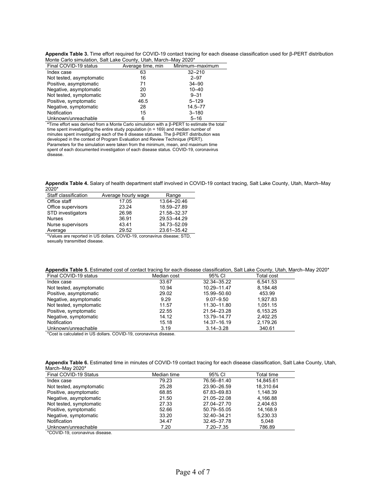|                       |                                                                 |                 | Appendix Table 3. Time effort required for COVID-19 contact tracing for each disease classification used for $\beta$ -PERT distribution |  |
|-----------------------|-----------------------------------------------------------------|-----------------|-----------------------------------------------------------------------------------------------------------------------------------------|--|
|                       | Monte Carlo simulation, Salt Lake County, Utah, March–May 2020* |                 |                                                                                                                                         |  |
| Final COVID-19 status | Average time, min                                               | Minimum–maximum |                                                                                                                                         |  |

| Monie Cano Simulation, Salt Lake County, Olan, March-May 2020 |                   |                 |  |  |
|---------------------------------------------------------------|-------------------|-----------------|--|--|
| Final COVID-19 status                                         | Average time, min | Minimum-maximum |  |  |
| Index case                                                    | 63                | $32 - 210$      |  |  |
| Not tested, asymptomatic                                      | 16                | $2 - 97$        |  |  |
| Positive, asymptomatic                                        | 71                | $34 - 90$       |  |  |
| Negative, asymptomatic                                        | 20                | $10 - 40$       |  |  |
| Not tested, symptomatic                                       | 30                | $9 - 31$        |  |  |
| Positive, symptomatic                                         | 46.5              | $5 - 129$       |  |  |
| Negative, symptomatic                                         | 28                | $14.5 - 77$     |  |  |
| Notification                                                  | 15                | $3 - 180$       |  |  |
| Unknown/unreachable                                           | 6                 | $5 - 16$        |  |  |

**\***Time effort was derived from a Monte Carlo simulation with a β-PERT to estimate the total time spent investigating the entire study population (n = 169) and median number of minutes spent investigating each of the 8 disease statuses. The β-PERT distribution was developed in the context of Program Evaluation and Review Technique (PERT). Parameters for the simulation were taken from the minimum, mean, and maximum time

spent of each documented investigation of each disease status. COVID-19, coronavirus disease.

**Appendix Table 4.** Salary of health department staff involved in COVID-19 contact tracing, Salt Lake County, Utah, March–May 2020\*

| Staff classification | Average hourly wage | Range       |
|----------------------|---------------------|-------------|
| Office staff         | 17.05               | 13.64-20.46 |
| Office supervisors   | 23.24               | 18.59-27.89 |
| STD investigators    | 26.98               | 21.58-32.37 |
| <b>Nurses</b>        | 36.91               | 29.53-44.29 |
| Nurse supervisors    | 43.41               | 34.73-52.09 |
| Average              | 29.52               | 23.61-35.42 |

\*Values are reported in US dollars. COVID-19, coronavirus disease; STD, sexually transmitted disease.

| Appendix Table 5. Estimated cost of contact tracing for each disease classification, Salt Lake County, Utah, March-May 2020* |
|------------------------------------------------------------------------------------------------------------------------------|
|------------------------------------------------------------------------------------------------------------------------------|

| Final COVID-19 status    | Median cost | 95% CI        | <b>Total cost</b> |
|--------------------------|-------------|---------------|-------------------|
| Index case               | 33.67       | 32.34-35.22   | 6.541.53          |
| Not tested, asymptomatic | 10.94       | 10.29-11.47   | 8,184.48          |
| Positive, asymptomatic   | 29.02       | 15.99 - 50.60 | 453.99            |
| Negative, asymptomatic   | 9.29        | $9.07 - 9.50$ | 1.927.83          |
| Not tested, symptomatic  | 11.57       | 11.30-11.80   | 1.051.15          |
| Positive, symptomatic    | 22.55       | 21.54-23.28   | 6.153.25          |
| Negative, symptomatic    | 14.12       | 13.79 - 14.77 | 2.402.25          |
| Notification             | 15.18       | 14.37-16.19   | 2,179.26          |
| Unknown/unreachable      | 3.19        | $3.14 - 3.28$ | 340.61            |
|                          |             |               |                   |

\*Cost is calculated in US dollars. COVID-19, coronavirus disease.

|                 | Appendix Table 6. Estimated time in minutes of COVID-19 contact tracing for each disease classification, Salt Lake County, Utah, |  |
|-----------------|----------------------------------------------------------------------------------------------------------------------------------|--|
| March–May 2020* |                                                                                                                                  |  |

| Final COVID-19 Status    | Median time | 95% CI        | Total time |
|--------------------------|-------------|---------------|------------|
| Index case               | 79.23       | 76.56-81.40   | 14.845.61  |
| Not tested, asymptomatic | 25.28       | 23.90-26.59   | 18.310.64  |
| Positive, asymptomatic   | 68.85       | 67.83-69.83   | 1.148.39   |
| Negative, asymptomatic   | 21.50       | 21.05-22.08   | 4.166.88   |
| Not tested, symptomatic  | 27.33       | 27.04-27.70   | 2.404.63   |
| Positive, symptomatic    | 52.66       | 50.79 - 55.05 | 14.168.9   |
| Negative, symptomatic    | 33.20       | 32.40-34.21   | 5.230.33   |
| Notification             | 34.47       | 32.45-37.78   | 5.048      |
| Unknown/unreachable      | 7.20        | $7.20 - 7.35$ | 786.89     |
|                          |             |               |            |

\*COVID-19, coronavirus disease.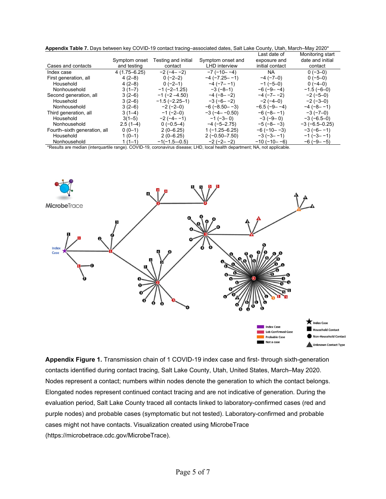|                              |                  |                       |                         | Last date of         | Monitoring start     |
|------------------------------|------------------|-----------------------|-------------------------|----------------------|----------------------|
|                              | Symptom onset    | Testing and initial   | Symptom onset and       | exposure and         | date and initial     |
| Cases and contacts           | and testing      | contact               | <b>LHD</b> interview    | initial contact      | contact              |
| Index case                   | $4(1.75 - 6.25)$ | $-2(-4-2)$            | $-7$ ( $-10- -4$ )      | <b>NA</b>            | $0(-3-0)$            |
| First generation, all        | $4(2-8)$         | $0(-2-2)$             | $-4$ ( $-7.25 - -1$ )   | $-4$ ( $-7$ $-0$ )   | $0(-5-0)$            |
| Household                    | $4(2-8)$         | $0(-2-1)$             | $-4$ ( $-7$ – $-1$ )    | $-1$ (-5-0)          | $0(-4-0)$            |
| Nonhousehold                 | $3(1-7)$         | $-1$ ( $-2-1.25$ )    | $-3(-8-1)$              | $-6(-9-1)$           | $-1.5(-6-0)$         |
| Second generation, all       | $3(2-6)$         | $-1$ ( $-2$ $-4.50$ ) | $-4(-8 - -2)$           | $-4$ ( $-7$ – $-2$ ) | $-2(-5-0)$           |
| Household                    | $3(2-6)$         | $-1.5(-2.25-1)$       | $-3(-6-2)$              | $-2(-4-0)$           | $-2(-3-0)$           |
| Nonhousehold                 | $3(2-6)$         | $-2(-2-0)$            | $-6$ ( $-8.50 - -3$ )   | $-6.5(-9-1)$         | $-4$ ( $-8$ $-1$ )   |
| Third generation, all        | $3(1-4)$         | $-1$ (-2–0)           | $-3$ ( $-4$ – $-0.50$ ) | $-6(-8 - -1)$        | $-3(-7-0)$           |
| Household                    | $3(1-5)$         | $-2(-4-1)$            | $-1$ ( $-3$ –0)         | $-3(-9-0)$           | $-3(-6.5-0)$         |
| Nonhousehold                 | $2.5(1-4)$       | $0(-0.5-4)$           | $-4$ ( $-5-2.75$ )      | $-5(-8 - -3)$        | $-3$ ( $-6.5-0.25$ ) |
| Fourth-sixth generation, all | $0(0-1)$         | $2(0-6.25)$           | $1(-1.25 - 6.25)$       | $-6$ ( $-10 -3$ )    | $-3(-6-1)$           |
| Household                    | $1(0-1)$         | $2(0-6.25)$           | $2(-0.50 - 7.50)$       | $-3(-3 - -1)$        | $-1(-3 - -1)$        |
| Nonhousehold                 | $1(1-1)$         | $-1(-1.5-0.5)$        | $-2(-2 - 2)$            | $-10(-10 - -6)$      | $-6$ ( $-9$ $-5$ )   |

\*Results are median (interquartile range). COVID-19, coronavirus disease; LHD, local health department; NA, not applicable.



**Appendix Figure 1.** Transmission chain of 1 COVID-19 index case and first- through sixth-generation contacts identified during contact tracing, Salt Lake County, Utah, United States, March–May 2020. Nodes represent a contact; numbers within nodes denote the generation to which the contact belongs. Elongated nodes represent continued contact tracing and are not indicative of generation. During the evaluation period, Salt Lake County traced all contacts linked to laboratory-confirmed cases (red and purple nodes) and probable cases (symptomatic but not tested). Laboratory-confirmed and probable cases might not have contacts. Visualization created using MicrobeTrace (https://microbetrace.cdc.gov/MicrobeTrace).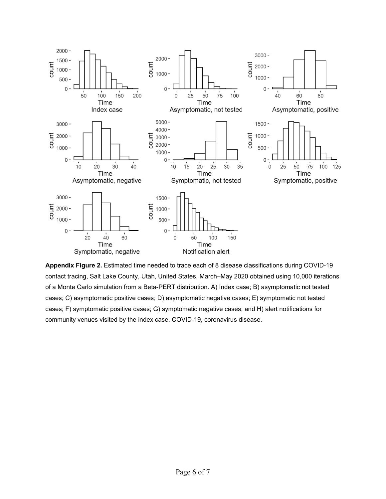

**Appendix Figure 2.** Estimated time needed to trace each of 8 disease classifications during COVID-19 contact tracing, Salt Lake County, Utah, United States, March–May 2020 obtained using 10,000 iterations of a Monte Carlo simulation from a Beta-PERT distribution. A) Index case; B) asymptomatic not tested cases; C) asymptomatic positive cases; D) asymptomatic negative cases; E) symptomatic not tested cases; F) symptomatic positive cases; G) symptomatic negative cases; and H) alert notifications for community venues visited by the index case. COVID-19, coronavirus disease.